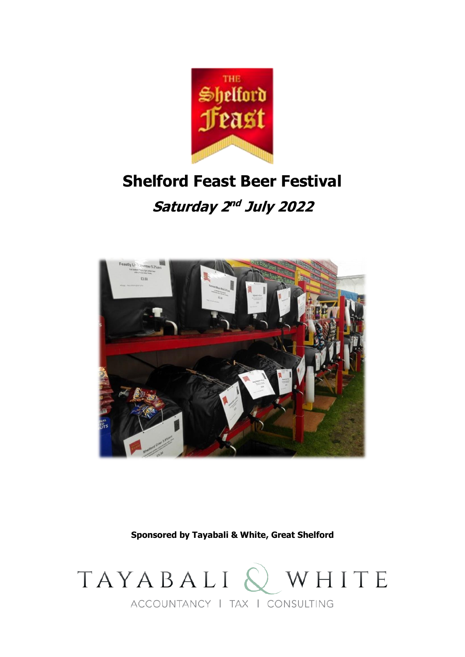

# **Shelford Feast Beer Festival**

**Saturday 2 nd July 2022**



**Sponsored by Tayabali & White, Great Shelford**

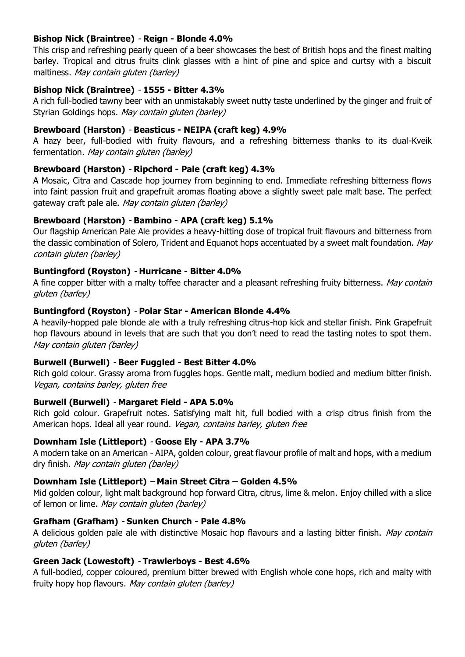# **Bishop Nick (Braintree)** - **Reign - Blonde 4.0%**

This crisp and refreshing pearly queen of a beer showcases the best of British hops and the finest malting barley. Tropical and citrus fruits clink glasses with a hint of pine and spice and curtsy with a biscuit maltiness. May contain gluten (barley)

# **Bishop Nick (Braintree)** - **1555 - Bitter 4.3%**

A rich full-bodied tawny beer with an unmistakably sweet nutty taste underlined by the ginger and fruit of Styrian Goldings hops. May contain gluten (barley)

# **Brewboard (Harston)** - **Beasticus - NEIPA (craft keg) 4.9%**

A hazy beer, full-bodied with fruity flavours, and a refreshing bitterness thanks to its dual-Kveik fermentation. May contain gluten (barley)

# **Brewboard (Harston)** - **Ripchord - Pale (craft keg) 4.3%**

A Mosaic, Citra and Cascade hop journey from beginning to end. Immediate refreshing bitterness flows into faint passion fruit and grapefruit aromas floating above a slightly sweet pale malt base. The perfect gateway craft pale ale. May contain gluten (barley)

# **Brewboard (Harston)** - **Bambino - APA (craft keg) 5.1%**

Our flagship American Pale Ale provides a heavy-hitting dose of tropical fruit flavours and bitterness from the classic combination of Solero, Trident and Equanot hops accentuated by a sweet malt foundation. May contain gluten (barley)

# **Buntingford (Royston)** - **Hurricane - Bitter 4.0%**

A fine copper bitter with a malty toffee character and a pleasant refreshing fruity bitterness. May contain gluten (barley)

# **Buntingford (Royston)** - **Polar Star - American Blonde 4.4%**

A heavily-hopped pale blonde ale with a truly refreshing citrus-hop kick and stellar finish. Pink Grapefruit hop flavours abound in levels that are such that you don't need to read the tasting notes to spot them. May contain gluten (barley)

# **Burwell (Burwell)** - **Beer Fuggled - Best Bitter 4.0%**

Rich gold colour. Grassy aroma from fuggles hops. Gentle malt, medium bodied and medium bitter finish. Vegan, contains barley, gluten free

# **Burwell (Burwell)** - **Margaret Field - APA 5.0%**

Rich gold colour. Grapefruit notes. Satisfying malt hit, full bodied with a crisp citrus finish from the American hops. Ideal all year round. Vegan, contains barley, gluten free

# **Downham Isle (Littleport)** - **Goose Ely - APA 3.7%**

A modern take on an American - AIPA, golden colour, great flavour profile of malt and hops, with a medium dry finish. May contain gluten (barley)

# **Downham Isle (Littleport)** – **Main Street Citra – Golden 4.5%**

Mid golden colour, light malt background hop forward Citra, citrus, lime & melon. Enjoy chilled with a slice of lemon or lime. May contain gluten (barley)

# **Grafham (Grafham)** - **Sunken Church - Pale 4.8%**

A delicious golden pale ale with distinctive Mosaic hop flavours and a lasting bitter finish. May contain gluten (barley)

# **Green Jack (Lowestoft)** - **Trawlerboys - Best 4.6%**

A full-bodied, copper coloured, premium bitter brewed with English whole cone hops, rich and malty with fruity hopy hop flavours. May contain gluten (barley)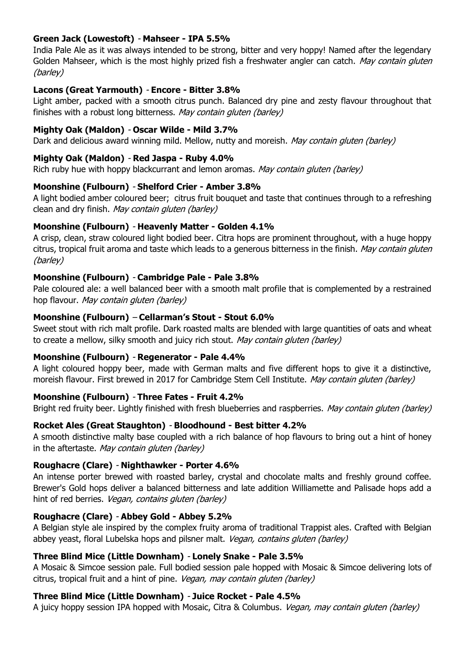# **Green Jack (Lowestoft)** - **Mahseer - IPA 5.5%**

India Pale Ale as it was always intended to be strong, bitter and very hoppy! Named after the legendary Golden Mahseer, which is the most highly prized fish a freshwater angler can catch. May contain gluten (barley)

#### **Lacons (Great Yarmouth)** - **Encore - Bitter 3.8%**

Light amber, packed with a smooth citrus punch. Balanced dry pine and zesty flavour throughout that finishes with a robust long bitterness. May contain gluten (barley)

#### **Mighty Oak (Maldon)** - **Oscar Wilde - Mild 3.7%**

Dark and delicious award winning mild. Mellow, nutty and moreish. May contain gluten (barley)

#### **Mighty Oak (Maldon)** - **Red Jaspa - Ruby 4.0%**

Rich ruby hue with hoppy blackcurrant and lemon aromas. May contain gluten (barley)

#### **Moonshine (Fulbourn)** - **Shelford Crier - Amber 3.8%**

A light bodied amber coloured beer; citrus fruit bouquet and taste that continues through to a refreshing clean and dry finish. May contain gluten (barley)

#### **Moonshine (Fulbourn)** - **Heavenly Matter - Golden 4.1%**

A crisp, clean, straw coloured light bodied beer. Citra hops are prominent throughout, with a huge hoppy citrus, tropical fruit aroma and taste which leads to a generous bitterness in the finish. May contain gluten (barley)

#### **Moonshine (Fulbourn)** - **Cambridge Pale - Pale 3.8%**

Pale coloured ale: a well balanced beer with a smooth malt profile that is complemented by a restrained hop flavour. May contain gluten (barley)

#### **Moonshine (Fulbourn)** – **Cellarman's Stout - Stout 6.0%**

Sweet stout with rich malt profile. Dark roasted malts are blended with large quantities of oats and wheat to create a mellow, silky smooth and juicy rich stout. May contain gluten (barley)

#### **Moonshine (Fulbourn)** - **Regenerator - Pale 4.4%**

A light coloured hoppy beer, made with German malts and five different hops to give it a distinctive, moreish flavour. First brewed in 2017 for Cambridge Stem Cell Institute. May contain gluten (barley)

#### **Moonshine (Fulbourn)** - **Three Fates - Fruit 4.2%**

Bright red fruity beer. Lightly finished with fresh blueberries and raspberries. May contain gluten (barley)

#### **Rocket Ales (Great Staughton)** - **Bloodhound - Best bitter 4.2%**

A smooth distinctive malty base coupled with a rich balance of hop flavours to bring out a hint of honey in the aftertaste. May contain gluten (barley)

#### **Roughacre (Clare)** - **Nighthawker - Porter 4.6%**

An intense porter brewed with roasted barley, crystal and chocolate malts and freshly ground coffee. Brewer's Gold hops deliver a balanced bitterness and late addition Williamette and Palisade hops add a hint of red berries. Vegan, contains gluten (barley)

#### **Roughacre (Clare)** - **Abbey Gold - Abbey 5.2%**

A Belgian style ale inspired by the complex fruity aroma of traditional Trappist ales. Crafted with Belgian abbey yeast, floral Lubelska hops and pilsner malt. Vegan, contains gluten (barley)

#### **Three Blind Mice (Little Downham)** - **Lonely Snake - Pale 3.5%**

A Mosaic & Simcoe session pale. Full bodied session pale hopped with Mosaic & Simcoe delivering lots of citrus, tropical fruit and a hint of pine. Vegan, may contain gluten (barley)

#### **Three Blind Mice (Little Downham)** - **Juice Rocket - Pale 4.5%**

A juicy hoppy session IPA hopped with Mosaic, Citra & Columbus. Vegan, may contain gluten (barley)